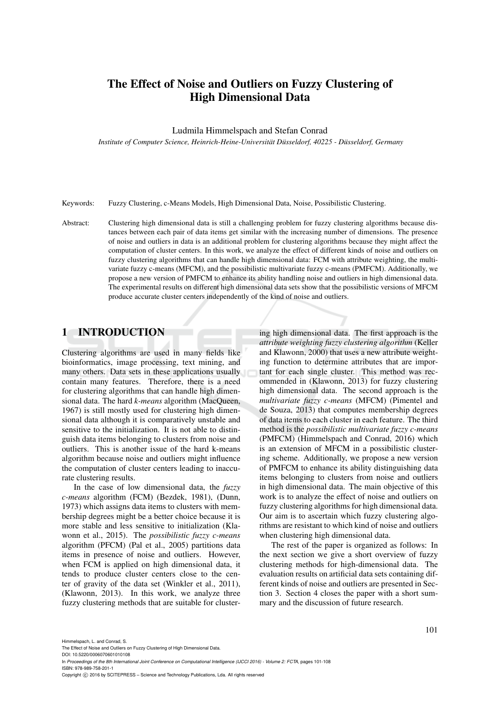# The Effect of Noise and Outliers on Fuzzy Clustering of High Dimensional Data

#### Ludmila Himmelspach and Stefan Conrad

*Institute of Computer Science, Heinrich-Heine-Universitat D ¨ usseldorf, 40225 - D ¨ usseldorf, Germany ¨*

Keywords: Fuzzy Clustering, c-Means Models, High Dimensional Data, Noise, Possibilistic Clustering.

Abstract: Clustering high dimensional data is still a challenging problem for fuzzy clustering algorithms because distances between each pair of data items get similar with the increasing number of dimensions. The presence of noise and outliers in data is an additional problem for clustering algorithms because they might affect the computation of cluster centers. In this work, we analyze the effect of different kinds of noise and outliers on fuzzy clustering algorithms that can handle high dimensional data: FCM with attribute weighting, the multivariate fuzzy c-means (MFCM), and the possibilistic multivariate fuzzy c-means (PMFCM). Additionally, we propose a new version of PMFCM to enhance its ability handling noise and outliers in high dimensional data. The experimental results on different high dimensional data sets show that the possibilistic versions of MFCM produce accurate cluster centers independently of the kind of noise and outliers.

#### 1 INTRODUCTION

Clustering algorithms are used in many fields like bioinformatics, image processing, text mining, and many others. Data sets in these applications usually contain many features. Therefore, there is a need for clustering algorithms that can handle high dimensional data. The hard *k-means* algorithm (MacQueen, 1967) is still mostly used for clustering high dimensional data although it is comparatively unstable and sensitive to the initialization. It is not able to distinguish data items belonging to clusters from noise and outliers. This is another issue of the hard k-means algorithm because noise and outliers might influence the computation of cluster centers leading to inaccurate clustering results.

In the case of low dimensional data, the *fuzzy c-means* algorithm (FCM) (Bezdek, 1981), (Dunn, 1973) which assigns data items to clusters with membership degrees might be a better choice because it is more stable and less sensitive to initialization (Klawonn et al., 2015). The *possibilistic fuzzy c-means* algorithm (PFCM) (Pal et al., 2005) partitions data items in presence of noise and outliers. However, when FCM is applied on high dimensional data, it tends to produce cluster centers close to the center of gravity of the data set (Winkler et al., 2011), (Klawonn, 2013). In this work, we analyze three fuzzy clustering methods that are suitable for clustering high dimensional data. The first approach is the *attribute weighting fuzzy clustering algorithm* (Keller and Klawonn, 2000) that uses a new attribute weighting function to determine attributes that are important for each single cluster. This method was recommended in (Klawonn, 2013) for fuzzy clustering high dimensional data. The second approach is the *multivariate fuzzy c-means* (MFCM) (Pimentel and de Souza, 2013) that computes membership degrees of data items to each cluster in each feature. The third method is the *possibilistic multivariate fuzzy c-means* (PMFCM) (Himmelspach and Conrad, 2016) which is an extension of MFCM in a possibilistic clustering scheme. Additionally, we propose a new version of PMFCM to enhance its ability distinguishing data items belonging to clusters from noise and outliers in high dimensional data. The main objective of this work is to analyze the effect of noise and outliers on fuzzy clustering algorithms for high dimensional data. Our aim is to ascertain which fuzzy clustering algorithms are resistant to which kind of noise and outliers when clustering high dimensional data.

The rest of the paper is organized as follows: In the next section we give a short overview of fuzzy clustering methods for high-dimensional data. The evaluation results on artificial data sets containing different kinds of noise and outliers are presented in Section 3. Section 4 closes the paper with a short summary and the discussion of future research.

Himmelspach, L. and Conrad, S.

The Effect of Noise and Outliers on Fuzzy Clustering of High Dimensional Data. DOI: 10.5220/0006070601010108

In *Proceedings of the 8th International Joint Conference on Computational Intelligence (IJCCI 2016) - Volume 2: FCTA*, pages 101-108 ISBN: 978-989-758-201-1

Copyright (C) 2016 by SCITEPRESS - Science and Technology Publications, Lda. All rights reserved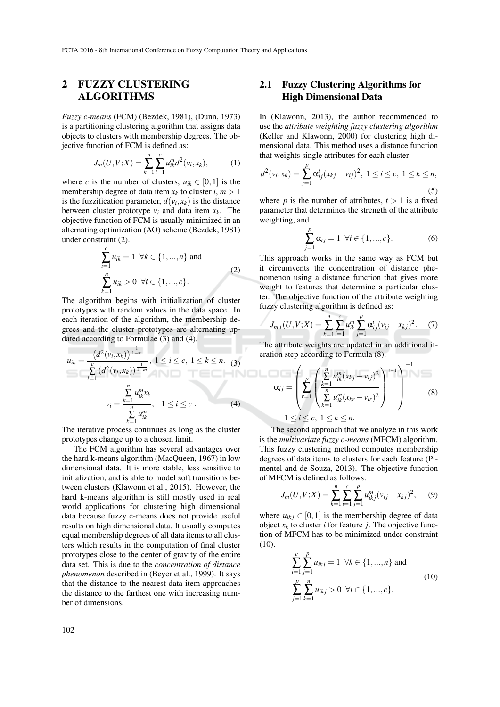## 2 FUZZY CLUSTERING ALGORITHMS

*c*

*Fuzzy c-means* (FCM) (Bezdek, 1981), (Dunn, 1973) is a partitioning clustering algorithm that assigns data objects to clusters with membership degrees. The objective function of FCM is defined as:

$$
J_m(U, V; X) = \sum_{k=1}^n \sum_{i=1}^c u_{ik}^m d^2(v_i, x_k), \qquad (1)
$$

where *c* is the number of clusters,  $u_{ik} \in [0,1]$  is the membership degree of data item  $x_k$  to cluster  $i, m > 1$ is the fuzzification parameter,  $d(v_i, x_k)$  is the distance between cluster prototype  $v_i$  and data item  $x_k$ . The objective function of FCM is usually minimized in an alternating optimization (AO) scheme (Bezdek, 1981) under constraint (2).

$$
\sum_{i=1}^{k} u_{ik} = 1 \quad \forall k \in \{1, ..., n\} \text{ and}
$$
\n
$$
\sum_{k=1}^{n} u_{ik} > 0 \quad \forall i \in \{1, ..., c\}.
$$
\n(2)

The algorithm begins with initialization of cluster prototypes with random values in the data space. In each iteration of the algorithm, the membership degrees and the cluster prototypes are alternating updated according to Formulae (3) and (4).

$$
u_{ik} = \frac{\left(d^2(v_i, x_k)\right)^{\frac{1}{1-m}}}{\sum_{l=1}^c \left(d^2(v_l, x_k)\right)^{\frac{1}{1-m}}}, 1 \le i \le c, 1 \le k \le n. \tag{3}
$$
erati  

$$
v_i = \frac{\sum_{k=1}^n u_{ik}^m x_k}{\sum_{k=1}^n u_{ik}^m}, 1 \le i \le c.
$$
 (4)

The iterative process continues as long as the cluster prototypes change up to a chosen limit.

The FCM algorithm has several advantages over the hard k-means algorithm (MacQueen, 1967) in low dimensional data. It is more stable, less sensitive to initialization, and is able to model soft transitions between clusters (Klawonn et al., 2015). However, the hard k-means algorithm is still mostly used in real world applications for clustering high dimensional data because fuzzy c-means does not provide useful results on high dimensional data. It usually computes equal membership degrees of all data items to all clusters which results in the computation of final cluster prototypes close to the center of gravity of the entire data set. This is due to the *concentration of distance phenomenon* described in (Beyer et al., 1999). It says that the distance to the nearest data item approaches the distance to the farthest one with increasing number of dimensions.

#### 2.1 Fuzzy Clustering Algorithms for High Dimensional Data

In (Klawonn, 2013), the author recommended to use the *attribute weighting fuzzy clustering algorithm* (Keller and Klawonn, 2000) for clustering high dimensional data. This method uses a distance function that weights single attributes for each cluster:

$$
d^{2}(v_{i}, x_{k}) = \sum_{j=1}^{p} \alpha_{ij}^{t}(x_{kj} - v_{ij})^{2}, \ 1 \leq i \leq c, \ 1 \leq k \leq n,
$$
\n(5)

where *p* is the number of attributes,  $t > 1$  is a fixed parameter that determines the strength of the attribute weighting, and

$$
\sum_{j=1}^{p} \alpha_{ij} = 1 \ \forall i \in \{1, ..., c\}.
$$
 (6)

This approach works in the same way as FCM but it circumvents the concentration of distance phenomenon using a distance function that gives more weight to features that determine a particular cluster. The objective function of the attribute weighting fuzzy clustering algorithm is defined as:

$$
J_{m,t}(U,V;X) = \sum_{k=1}^{n} \sum_{i=1}^{c} u_{ik}^{m} \sum_{j=1}^{p} \alpha_{ij}^{t} (v_{ij} - x_{kj})^{2}.
$$
 (7)

The attribute weights are updated in an additional iteration step according to Formula (8).

$$
\alpha_{ij} = \left(\sum_{r=1}^{p} \left(\frac{\sum_{k=1}^{n} u_{ik}^{m}(x_{kj} - v_{ij})^{2}}{\sum_{k=1}^{n} u_{ik}^{m}(x_{kr} - v_{ir})^{2}}\right)^{\frac{1}{r-1}}\right)^{-1}
$$
(8)  
1 \le i \le c, 1 \le k \le n.

The second approach that we analyze in this work is the *multivariate fuzzy c-means* (MFCM) algorithm. This fuzzy clustering method computes membership degrees of data items to clusters for each feature (Pimentel and de Souza, 2013). The objective function of MFCM is defined as follows:

$$
J_m(U, V; X) = \sum_{k=1}^n \sum_{i=1}^c \sum_{j=1}^p u_{ikj}^m (v_{ij} - x_{kj})^2, \quad (9)
$$

where  $u_{ikj} \in [0,1]$  is the membership degree of data object  $x_k$  to cluster *i* for feature *j*. The objective function of MFCM has to be minimized under constraint (10).

$$
\sum_{i=1}^{c} \sum_{j=1}^{p} u_{ikj} = 1 \quad \forall k \in \{1, ..., n\} \text{ and}
$$
\n
$$
\sum_{j=1}^{p} \sum_{k=1}^{n} u_{ikj} > 0 \quad \forall i \in \{1, ..., c\}.
$$
\n(10)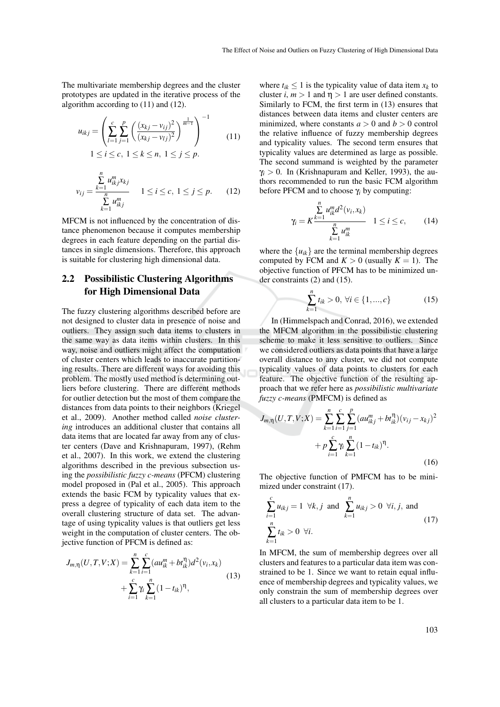The multivariate membership degrees and the cluster prototypes are updated in the iterative process of the algorithm according to (11) and (12).

$$
u_{ikj} = \left(\sum_{l=1}^{c} \sum_{j=1}^{p} \left(\frac{(x_{kj} - v_{ij})^2}{(x_{kj} - v_{lj})^2}\right)^{\frac{1}{m-1}}\right)^{-1}
$$
  
1 \le i \le c, 1 \le k \le n, 1 \le j \le p. (11)

$$
v_{ij} = \frac{\sum_{k=1}^{n} u_{ikj}^m x_{kj}}{\sum_{k=1}^{n} u_{ikj}^m}
$$
 1 \le i \le c, 1 \le j \le p. (12)

MFCM is not influenced by the concentration of distance phenomenon because it computes membership degrees in each feature depending on the partial distances in single dimensions. Therefore, this approach is suitable for clustering high dimensional data.

#### 2.2 Possibilistic Clustering Algorithms for High Dimensional Data

The fuzzy clustering algorithms described before are not designed to cluster data in presence of noise and outliers. They assign such data items to clusters in the same way as data items within clusters. In this way, noise and outliers might affect the computation of cluster centers which leads to inaccurate partitioning results. There are different ways for avoiding this problem. The mostly used method is determining outliers before clustering. There are different methods for outlier detection but the most of them compare the distances from data points to their neighbors (Kriegel et al., 2009). Another method called *noise clustering* introduces an additional cluster that contains all data items that are located far away from any of cluster centers (Dave and Krishnapuram, 1997), (Rehm et al., 2007). In this work, we extend the clustering algorithms described in the previous subsection using the *possibilistic fuzzy c-means* (PFCM) clustering model proposed in (Pal et al., 2005). This approach extends the basic FCM by typicality values that express a degree of typicality of each data item to the overall clustering structure of data set. The advantage of using typicality values is that outliers get less weight in the computation of cluster centers. The objective function of PFCM is defined as:

$$
J_{m,\eta}(U,T,V;X) = \sum_{k=1}^{n} \sum_{i=1}^{c} (au_{ik}^{m} + bt_{ik}^{\eta})d^{2}(v_{i},x_{k}) + \sum_{i=1}^{c} \gamma_{i} \sum_{k=1}^{n} (1 - t_{ik})^{\eta},
$$
\n(13)

where  $t_{ik} \leq 1$  is the typicality value of data item  $x_k$  to cluster *i*,  $m > 1$  and  $\eta > 1$  are user defined constants. Similarly to FCM, the first term in (13) ensures that distances between data items and cluster centers are minimized, where constants  $a > 0$  and  $b > 0$  control the relative influence of fuzzy membership degrees and typicality values. The second term ensures that typicality values are determined as large as possible. The second summand is weighted by the parameter  $\gamma$ <sub>*i*</sub>  $> 0$ . In (Krishnapuram and Keller, 1993), the authors recommended to run the basic FCM algorithm before PFCM and to choose γ*<sup>i</sup>* by computing:

$$
\gamma_i = K \frac{\sum_{i=1}^n u_{ik}^m d^2(v_i, x_k)}{\sum_{k=1}^n u_{ik}^m} \quad 1 \le i \le c,
$$
 (14)

where the  $\{u_{ik}\}\$ are the terminal membership degrees computed by FCM and  $K > 0$  (usually  $K = 1$ ). The objective function of PFCM has to be minimized under constraints (2) and (15).

$$
\sum_{k=1}^{n} t_{ik} > 0, \ \forall i \in \{1, ..., c\}
$$
 (15)

In (Himmelspach and Conrad, 2016), we extended the MFCM algorithm in the possibilistic clustering scheme to make it less sensitive to outliers. Since we considered outliers as data points that have a large overall distance to any cluster, we did not compute typicality values of data points to clusters for each feature. The objective function of the resulting approach that we refer here as *possibilistic multivariate fuzzy c-means* (PMFCM) is defined as

$$
J_{m,\eta}(U,T,V;X) = \sum_{k=1}^{n} \sum_{i=1}^{c} \sum_{j=1}^{p} (au_{ikj}^{m} + bt_{ik}^{\eta})(v_{ij} - x_{kj})^{2}
$$

$$
+ p \sum_{i=1}^{c} \gamma_{i} \sum_{k=1}^{n} (1 - t_{ik})^{\eta}.
$$
(16)

The objective function of PMFCM has to be minimized under constraint (17).

$$
\sum_{i=1}^{c} u_{ikj} = 1 \ \forall k, j \text{ and } \sum_{k=1}^{n} u_{ikj} > 0 \ \forall i, j, \text{ and}
$$
\n
$$
\sum_{k=1}^{n} t_{ik} > 0 \ \forall i.
$$
\n(17)

In MFCM, the sum of membership degrees over all clusters and features to a particular data item was constrained to be 1. Since we want to retain equal influence of membership degrees and typicality values, we only constrain the sum of membership degrees over all clusters to a particular data item to be 1.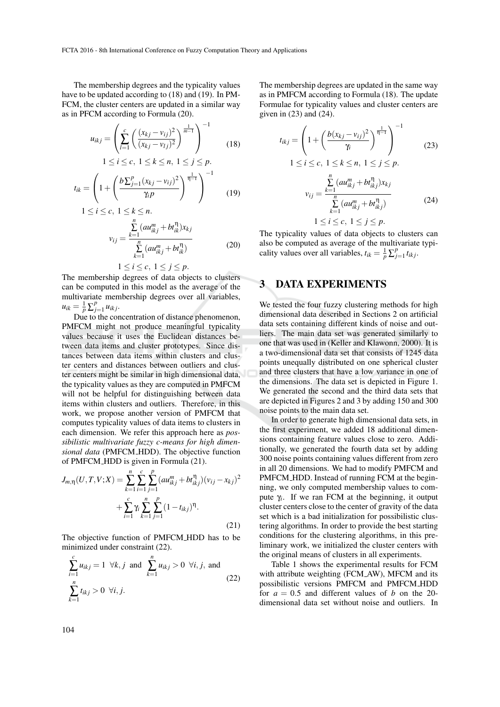The membership degrees and the typicality values have to be updated according to (18) and (19). In PM-FCM, the cluster centers are updated in a similar way as in PFCM according to Formula (20).

$$
u_{ikj} = \left(\sum_{l=1}^{c} \left(\frac{(x_{kj} - v_{ij})^2}{(x_{kj} - v_{lj})^2}\right)^{\frac{1}{m-1}}\right)^{-1}
$$
(18)

$$
1 \le i \le c, \ 1 \le k \le n, \ 1 \le j \le p.
$$

$$
t_{ik} = \left(1 + \left(\frac{b\sum_{j=1}^{p}(x_{kj} - v_{ij})^2}{\gamma_i p}\right)^{\frac{1}{\eta-1}}\right)^{-1}
$$
(19)

$$
1 \le i \le c, \ 1 \le k \le n.
$$
  

$$
v_{ij} = \frac{\sum_{k=1}^{n} (au_{ikj}^{m} + bt_{ik}^{n})x_{kj}}{n}
$$
 (20)

$$
v_{ij} = \frac{n}{\sum_{k=1}^{n} (au_{ikj}^{m} + bt_{ik}^{n})}
$$
 (20)

 $1 \leq i \leq c, 1 \leq j \leq p.$ 

The membership degrees of data objects to clusters can be computed in this model as the average of the multivariate membership degrees over all variables,  $u_{ik} = \frac{1}{p} \sum_{j}^{p}$  $\int_{j=1}^{\rho} u_{ikj}$ .

Due to the concentration of distance phenomenon, PMFCM might not produce meaningful typicality values because it uses the Euclidean distances between data items and cluster prototypes. Since distances between data items within clusters and cluster centers and distances between outliers and cluster centers might be similar in high dimensional data, the typicality values as they are computed in PMFCM will not be helpful for distinguishing between data items within clusters and outliers. Therefore, in this work, we propose another version of PMFCM that computes typicality values of data items to clusters in each dimension. We refer this approach here as *possibilistic multivariate fuzzy c-means for high dimensional data* (PMFCM HDD). The objective function of PMFCM HDD is given in Formula (21).

$$
J_{m,\eta}(U,T,V;X) = \sum_{k=1}^{n} \sum_{i=1}^{c} \sum_{j=1}^{p} (au_{ikj}^{m} + bt_{ikj}^{\eta})(v_{ij} - x_{kj})^{2}
$$

$$
+ \sum_{i=1}^{c} \gamma_{i} \sum_{k=1}^{n} \sum_{j=1}^{p} (1 - t_{ikj})^{\eta}.
$$
(21)

The objective function of PMFCM HDD has to be minimized under constraint (22).

$$
\sum_{i=1}^{c} u_{ikj} = 1 \ \forall k, j \text{ and } \sum_{k=1}^{n} u_{ikj} > 0 \ \forall i, j, \text{ and}
$$
\n
$$
\sum_{k=1}^{n} t_{ikj} > 0 \ \forall i, j.
$$
\n(22)

The membership degrees are updated in the same way as in PMFCM according to Formula (18). The update Formulae for typicality values and cluster centers are given in (23) and (24).

$$
t_{ikj} = \left(1 + \left(\frac{b(x_{kj} - v_{ij})^2}{\gamma_i}\right)^{\frac{1}{\eta - 1}}\right)^{-1}
$$
(23)  

$$
1 \le i \le c, \ 1 \le k \le n, \ 1 \le j \le p.
$$
  

$$
v_{ij} = \frac{\sum_{k=1}^{n} (au_{ikj}^m + bt_{ikj}^{\eta})x_{kj}}{\sum_{k=1}^{n} (au_{ikj}^m + bt_{ikj}^{\eta})}
$$
(24)

$$
1 \leq i \leq c, \ 1 \leq j \leq p.
$$

The typicality values of data objects to clusters can also be computed as average of the multivariate typicality values over all variables,  $t_{ik} = \frac{1}{p} \sum_{j}^{p}$ *j*=1 *tik j*.

#### 3 DATA EXPERIMENTS

We tested the four fuzzy clustering methods for high dimensional data described in Sections 2 on artificial data sets containing different kinds of noise and outliers. The main data set was generated similarly to one that was used in (Keller and Klawonn, 2000). It is a two-dimensional data set that consists of 1245 data points unequally distributed on one spherical cluster and three clusters that have a low variance in one of the dimensions. The data set is depicted in Figure 1. We generated the second and the third data sets that are depicted in Figures 2 and 3 by adding 150 and 300 noise points to the main data set.

In order to generate high dimensional data sets, in the first experiment, we added 18 additional dimensions containing feature values close to zero. Additionally, we generated the fourth data set by adding 300 noise points containing values different from zero in all 20 dimensions. We had to modify PMFCM and PMFCM\_HDD. Instead of running FCM at the beginning, we only computed membership values to compute  $\gamma_i$ . If we ran FCM at the beginning, it output cluster centers close to the center of gravity of the data set which is a bad initialization for possibilistic clustering algorithms. In order to provide the best starting conditions for the clustering algorithms, in this preliminary work, we initialized the cluster centers with the original means of clusters in all experiments.

Table 1 shows the experimental results for FCM with attribute weighting (FCM\_AW), MFCM and its possibilistic versions PMFCM and PMFCM HDD for  $a = 0.5$  and different values of *b* on the 20dimensional data set without noise and outliers. In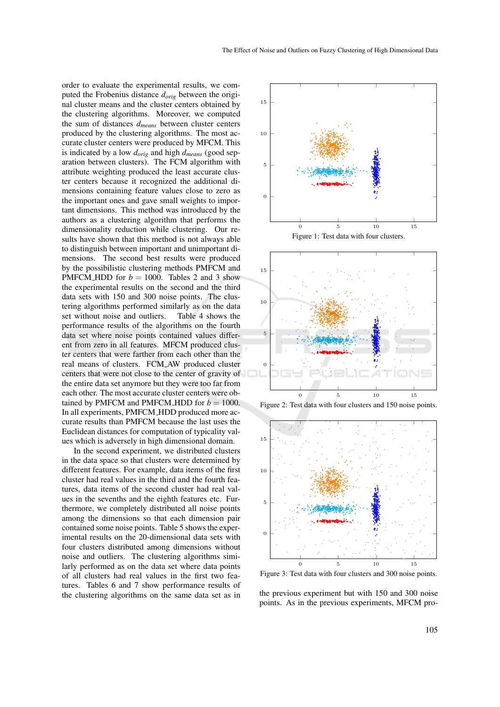order to evaluate the experimental results, we computed the Frobenius distance *dorig* between the original cluster means and the cluster centers obtained by the clustering algorithms. Moreover, we computed the sum of distances *dmeans* between cluster centers produced by the clustering algorithms. The most accurate cluster centers were produced by MFCM. This is indicated by a low *dorig* and high *dmeans* (good separation between clusters). The FCM algorithm with attribute weighting produced the least accurate cluster centers because it recognized the additional dimensions containing feature values close to zero as the important ones and gave small weights to important dimensions. This method was introduced by the authors as a clustering algorithm that performs the dimensionality reduction while clustering. Our results have shown that this method is not always able to distinguish between important and unimportant dimensions. The second best results were produced by the possibilistic clustering methods PMFCM and PMFCM\_HDD for  $b = 1000$ . Tables 2 and 3 show the experimental results on the second and the third data sets with 150 and 300 noise points. The clustering algorithms performed similarly as on the data set without noise and outliers. Table 4 shows the performance results of the algorithms on the fourth data set where noise points contained values different from zero in all features. MFCM produced cluster centers that were farther from each other than the real means of clusters. FCM AW produced cluster centers that were not close to the center of gravity of the entire data set anymore but they were too far from each other. The most accurate cluster centers were obtained by PMFCM and PMFCM\_HDD for  $b = 1000$ . In all experiments, PMFCM HDD produced more accurate results than PMFCM because the last uses the Euclidean distances for computation of typicality values which is adversely in high dimensional domain.

In the second experiment, we distributed clusters in the data space so that clusters were determined by different features. For example, data items of the first cluster had real values in the third and the fourth features, data items of the second cluster had real values in the sevenths and the eighth features etc. Furthermore, we completely distributed all noise points among the dimensions so that each dimension pair contained some noise points. Table 5 shows the experimental results on the 20-dimensional data sets with four clusters distributed among dimensions without noise and outliers. The clustering algorithms similarly performed as on the data set where data points of all clusters had real values in the first two features. Tables 6 and 7 show performance results of the clustering algorithms on the same data set as in





Figure 3: Test data with four clusters and 300 noise points.

the previous experiment but with 150 and 300 noise points. As in the previous experiments, MFCM pro-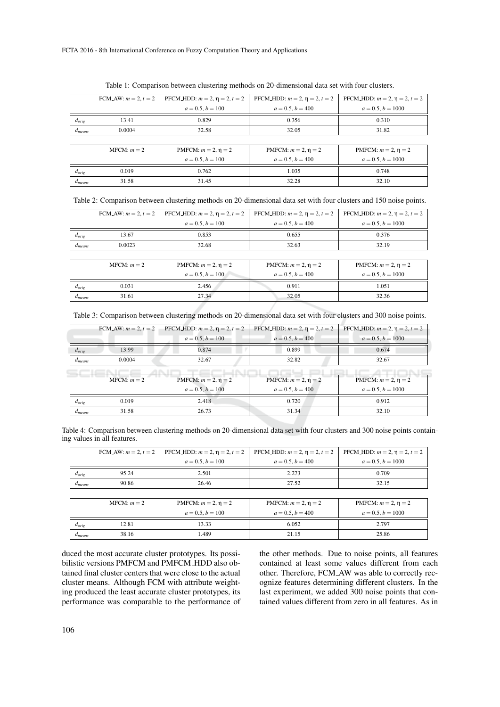|                             |        | FCM_AW: $m = 2$ , $t = 2$   PFCM_HDD: $m = 2$ , $\eta = 2$ , $t = 2$ |                    | PFCM_HDD: $m = 2$ , $\eta = 2$ , $t = 2$   PFCM_HDD: $m = 2$ , $\eta = 2$ , $t = 2$ |
|-----------------------------|--------|----------------------------------------------------------------------|--------------------|-------------------------------------------------------------------------------------|
|                             |        | $a = 0.5, b = 100$                                                   | $a = 0.5, b = 400$ | $a = 0.5, b = 1000$                                                                 |
| $d_{orig}$                  | 13.41  | 0.829                                                                | 0.356              | 0.310                                                                               |
| <i><u><b>A</b>means</u></i> | 0.0004 | 32.58                                                                | 32.05              | 31.82                                                                               |
|                             |        |                                                                      |                    |                                                                                     |

|  | Table 1: Comparison between clustering methods on 20-dimensional data set with four clusters. |  |  |  |
|--|-----------------------------------------------------------------------------------------------|--|--|--|
|  |                                                                                               |  |  |  |

|             | $MFCM: m = 2$ | PMFCM: $m = 2, \eta = 2$ | PMFCM: $m = 2$ , $\eta = 2$ | PMFCM: $m = 2$ , $\eta = 2$ |
|-------------|---------------|--------------------------|-----------------------------|-----------------------------|
|             |               | $a = 0.5, b = 100$       | $a = 0.5, b = 400$          | $a = 0.5, b = 1000$         |
| $a_{orig}$  | 0.019         | 0.762                    | 1.035                       | 0.748                       |
| $a_{means}$ | 31.58         | 31.45                    | 32.28                       | 32.10                       |

Table 2: Comparison between clustering methods on 20-dimensional data set with four clusters and 150 noise points.

|             |        |                    | FCM_AW: $m = 2$ , $t = 2$   PFCM_HDD: $m = 2$ , $\eta = 2$ , $t = 2$   PFCM_HDD: $m = 2$ , $\eta = 2$ , $t = 2$   PFCM_HDD: $m = 2$ , $\eta = 2$ , $t = 2$ |                     |
|-------------|--------|--------------------|------------------------------------------------------------------------------------------------------------------------------------------------------------|---------------------|
|             |        | $a = 0.5, b = 100$ | $a = 0.5, b = 400$                                                                                                                                         | $a = 0.5, b = 1000$ |
| $d_{orig}$  | 13.67  | 0.853              | 0.655                                                                                                                                                      | 0.376               |
| $a_{means}$ | 0.0023 | 32.68              | 32.63                                                                                                                                                      | 32.19               |

|             | $MFCM: m = 2$ | PMFCM: $m = 2$ , $\eta = 2$ | PMFCM: $m = 2$ , $\eta = 2$ | PMFCM: $m = 2$ , $\eta = 2$ |
|-------------|---------------|-----------------------------|-----------------------------|-----------------------------|
|             |               | $a = 0.5, b = 100$          | $a = 0.5, b = 400$          | $a = 0.5, b = 1000$         |
| $d_{orig}$  | 0.031         | 2.456                       | 0.911                       | .051                        |
| $a_{means}$ | 31.61         | 27.34                       | 32.05                       | 32.36                       |

| Table 3: Comparison between clustering methods on 20-dimensional data set with four clusters and 300 noise points. |  |  |  |
|--------------------------------------------------------------------------------------------------------------------|--|--|--|
|                                                                                                                    |  |  |  |

|                   | FCM_AW: $m = 2, t = 2$ | PFCM_HDD: $m = 2$ , $\eta = 2$ , $t = 2$ | PFCM_HDD: $m = 2$ , $\eta = 2$ , $t = 2$ | PFCM_HDD: $m = 2$ , $\eta = 2$ , $t = 2$ |
|-------------------|------------------------|------------------------------------------|------------------------------------------|------------------------------------------|
|                   |                        | $a = 0.5, b = 100$                       | $a = 0.5, b = 400$                       | $a = 0.5, b = 1000$                      |
| $d_{\text{orig}}$ | 13.99                  | 0.874                                    | 0.899                                    | 0.674                                    |
| $d_{means}$       | 0.0004                 | 32.67                                    | 32.82                                    | 32.67                                    |
|                   |                        |                                          |                                          |                                          |
|                   | $MFCM: m = 2$          | PMFCM: $m = 2, \eta = 2$                 | PMFCM: $m = 2$ , $\eta = 2$              | PMFCM: $m = 2$ , $\eta = 2$              |
|                   |                        | $a = 0.5, b = 100$                       | $a = 0.5, b = 400$                       | $a = 0.5, b = 1000$                      |
| $d_{orie}$        | 0.019                  | 2.418                                    | 0.720                                    | 0.912                                    |
| $d_{means}$       | 31.58                  | 26.73                                    | 31.34                                    | 32.10                                    |

Table 4: Comparison between clustering methods on 20-dimensional data set with four clusters and 300 noise points containing values in all features.

|             | FCM_AW: $m = 2$ , $t = 2$ | PFCM_HDD: $m = 2$ , $\eta = 2$ , $t = 2$ | PFCM_HDD: $m = 2$ , $\eta = 2$ , $t = 2$ | PFCM_HDD: $m = 2$ , $\eta = 2$ , $t = 2$ |  |  |
|-------------|---------------------------|------------------------------------------|------------------------------------------|------------------------------------------|--|--|
|             |                           | $a = 0.5, b = 100$                       | $a = 0.5, b = 400$                       | $a = 0.5, b = 1000$                      |  |  |
| $d_{orig}$  | 95.24                     | 2.501                                    | 2.273                                    | 0.709                                    |  |  |
| $a_{means}$ | 90.86                     | 26.46                                    | 27.52                                    | 32.15                                    |  |  |
|             |                           |                                          |                                          |                                          |  |  |
|             | $MFCM: m = 2$             | PMFCM: $m = 2$ , $\eta = 2$              | PMFCM: $m = 2$ , $\eta = 2$              | PMFCM: $m = 2$ , $\eta = 2$              |  |  |

|             | $MFCM: m = 2$ | PMFCM: $m = 2, \eta = 2$ | PMFCM: $m = 2, \eta = 2$ | PMFCM: $m = 2, \eta = 2$ |  |  |
|-------------|---------------|--------------------------|--------------------------|--------------------------|--|--|
|             |               | $a = 0.5, b = 100$       | $a = 0.5, b = 400$       | $a = 0.5, b = 1000$      |  |  |
| $d_{orig}$  | 2.81          | 3.33                     | 6.052                    | 2.797                    |  |  |
| $a_{means}$ | 38.16         | .489                     | 21.15                    | 25.86                    |  |  |

duced the most accurate cluster prototypes. Its possibilistic versions PMFCM and PMFCM HDD also obtained final cluster centers that were close to the actual cluster means. Although FCM with attribute weighting produced the least accurate cluster prototypes, its performance was comparable to the performance of the other methods. Due to noise points, all features contained at least some values different from each other. Therefore, FCM AW was able to correctly recognize features determining different clusters. In the last experiment, we added 300 noise points that contained values different from zero in all features. As in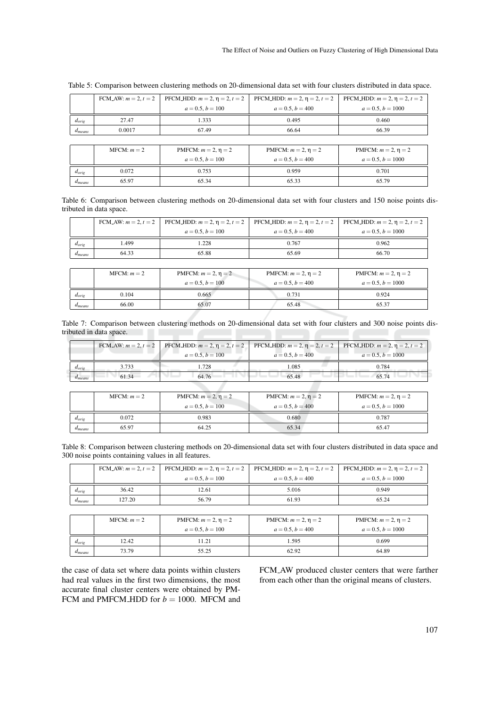|                   | FCM_AW: $m = 2, t = 2$ | PFCM_HDD: $m = 2$ , $\eta = 2$ , $t = 2$ | PFCM_HDD: $m = 2$ , $\eta = 2$ , $t = 2$ | PFCM_HDD: $m = 2$ , $\eta = 2$ , $t = 2$ |
|-------------------|------------------------|------------------------------------------|------------------------------------------|------------------------------------------|
|                   |                        | $a = 0.5, b = 100$                       | $a = 0.5, b = 400$                       | $a = 0.5, b = 1000$                      |
| $d_{\text{orie}}$ | 27.47                  | 1.333                                    | 0.495                                    | 0.460                                    |
| $d_{means}$       | 0.0017                 | 67.49                                    | 66.64                                    | 66.39                                    |
|                   |                        |                                          |                                          |                                          |
|                   | $MFCM: m = 2$          | PMFCM: $m = 2$ , $\eta = 2$              | PMFCM: $m = 2$ , $n = 2$                 | PMFCM: $m = 2$ , $\eta = 2$              |
|                   |                        | $a = 0.5, b = 100$                       | $a = 0.5, b = 400$                       | $a = 0.5, b = 1000$                      |
| $d_{orig}$        | 0.072                  | 0.753                                    | 0.959                                    | 0.701                                    |
| $d_{means}$       | 65.97                  | 65.34                                    | 65.33                                    | 65.79                                    |

Table 5: Comparison between clustering methods on 20-dimensional data set with four clusters distributed in data space.

| Table 6: Comparison between clustering methods on 20-dimensional data set with four clusters and 150 noise points dis- |  |  |  |  |  |  |  |  |
|------------------------------------------------------------------------------------------------------------------------|--|--|--|--|--|--|--|--|
| tributed in data space.                                                                                                |  |  |  |  |  |  |  |  |

|                   | FCM_AW: $m = 2, t = 2$ | PFCM_HDD: $m = 2$ , $\eta = 2$ , $t = 2$ | PFCM_HDD: $m = 2$ , $\eta = 2$ , $t = 2$ | PFCM_HDD: $m = 2$ , $\eta = 2$ , $t = 2$ |  |  |
|-------------------|------------------------|------------------------------------------|------------------------------------------|------------------------------------------|--|--|
|                   |                        | $a = 0.5, b = 100$                       | $a = 0.5, b = 400$                       | $a = 0.5, b = 1000$                      |  |  |
| $d_{orig}$        | 1.499                  | 1.228                                    | 0.767                                    | 0.962                                    |  |  |
| $d_{means}$       | 64.33                  | 65.88                                    | 65.69                                    | 66.70                                    |  |  |
|                   |                        |                                          |                                          |                                          |  |  |
|                   | $MFCM: m = 2$          | PMFCM: $m = 2$ , $\eta = 2$              | PMFCM: $m = 2$ , $\eta = 2$              | PMFCM: $m = 2$ , $\eta = 2$              |  |  |
|                   |                        | $a = 0.5, b = 100$                       | $a = 0.5, b = 400$                       | $a = 0.5, b = 1000$                      |  |  |
| $d_{\text{orie}}$ | 0.104                  | 0.665                                    | 0.731                                    | 0.924                                    |  |  |
| $d_{means}$       | 66.00                  | 65.07                                    | 65.48                                    | 65.37                                    |  |  |

Table 7: Comparison between clustering methods on 20-dimensional data set with four clusters and 300 noise points distributed in data space.

|                   |       | FCM_AW; $m = 2$ , $t = 2$   PFCM_HDD; $m = 2$ , $\eta = 2$ , $t = 2$   PFCM_HDD; $m = 2$ , $\eta = 2$ , $t = 2$   PFCM_HDD; $m = 2$ , $\eta = 2$ , $t = 2$ |                    |                     |
|-------------------|-------|------------------------------------------------------------------------------------------------------------------------------------------------------------|--------------------|---------------------|
|                   |       | $a = 0.5, b = 100$                                                                                                                                         | $a = 0.5, b = 400$ | $a = 0.5, b = 1000$ |
| $a_{\text{orig}}$ | 3.733 | . 728                                                                                                                                                      | l.085              | 0.784               |
| $u_{means}$       | 61.34 | 64.76                                                                                                                                                      | 65.48              | 65 74               |

|             | $MFCM: m = 2$ | PMFCM: $m = 2, \eta = 2$<br>$a = 0.5, b = 100$ | PMFCM: $m = 2, \eta = 2$<br>$a = 0.5, b = 400$ | PMFCM: $m = 2$ , $\eta = 2$<br>$a = 0.5, b = 1000$ |
|-------------|---------------|------------------------------------------------|------------------------------------------------|----------------------------------------------------|
| $d_{orig}$  | 0.072         | 0.983                                          | 0.680                                          | 0.787                                              |
| $a_{means}$ | 65.97         | 64.25                                          | 65.34                                          | 65.47                                              |

Table 8: Comparison between clustering methods on 20-dimensional data set with four clusters distributed in data space and 300 noise points containing values in all features.

|                             |        |                    | FCM_AW: $m = 2$ , $t = 2$   PFCM_HDD: $m = 2$ , $\eta = 2$ , $t = 2$   PFCM_HDD: $m = 2$ , $\eta = 2$ , $t = 2$   PFCM_HDD: $m = 2$ , $\eta = 2$ , $t = 2$ |                     |
|-----------------------------|--------|--------------------|------------------------------------------------------------------------------------------------------------------------------------------------------------|---------------------|
|                             |        | $a = 0.5, b = 100$ | $a = 0.5, b = 400$                                                                                                                                         | $a = 0.5, b = 1000$ |
| $d_{orig}$                  | 36.42  | 12.61              | 5.016                                                                                                                                                      | 0.949               |
| <i><u><b>Ameans</b></u></i> | 127.20 | 56.79              | 61.93                                                                                                                                                      | 65.24               |

|             | $MFCM: m = 2$ | PMFCM: $m = 2$ , $\eta = 2$<br>$a = 0.5, b = 100$ | PMFCM: $m = 2$ , $\eta = 2$<br>$a = 0.5, b = 400$ | PMFCM: $m = 2$ , $\eta = 2$<br>$a = 0.5, b = 1000$ |
|-------------|---------------|---------------------------------------------------|---------------------------------------------------|----------------------------------------------------|
| $d_{orig}$  | 12.42         | 11.21                                             | 1.595                                             | 0.699                                              |
| $a_{means}$ | 73.79         | 55.25                                             | 62.92                                             | 64.89                                              |

the case of data set where data points within clusters had real values in the first two dimensions, the most accurate final cluster centers were obtained by PM-FCM and PMFCM\_HDD for  $b = 1000$ . MFCM and

FCM AW produced cluster centers that were farther from each other than the original means of clusters.